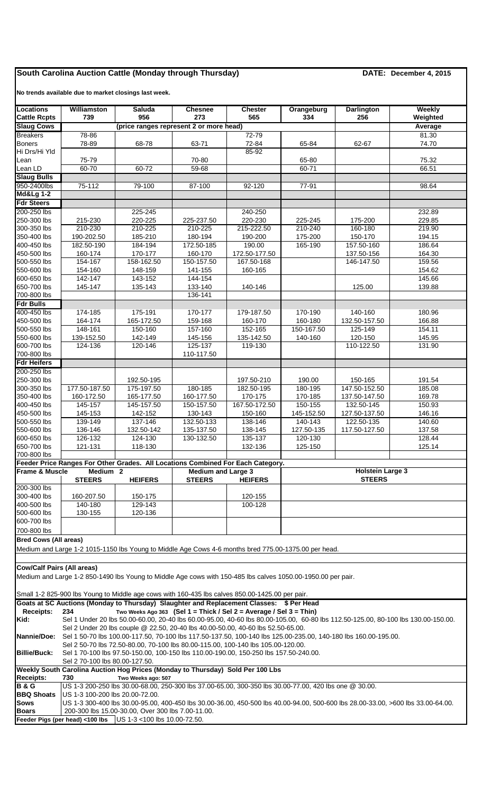## **South Carolina Auction Cattle (Monday through Thursday) DATE: December 4, 2015**

**No trends available due to market closings last week.**

| <b>Locations</b>                         | Williamston                                                                                                                                                                                        | <b>Saluda</b>                                                                                                | <b>Chesnee</b>                                               | <b>Chester</b>          | Orangeburg                               | <b>Darlington</b>           | <b>Weekly</b>                                                                                                                     |  |  |
|------------------------------------------|----------------------------------------------------------------------------------------------------------------------------------------------------------------------------------------------------|--------------------------------------------------------------------------------------------------------------|--------------------------------------------------------------|-------------------------|------------------------------------------|-----------------------------|-----------------------------------------------------------------------------------------------------------------------------------|--|--|
| <b>Cattle Rcpts</b><br><b>Slaug Cows</b> | 739                                                                                                                                                                                                | 956<br>(price ranges represent 2 or more head)                                                               | 273                                                          | 565                     | 334                                      | 256                         | Weighted                                                                                                                          |  |  |
| <b>Breakers</b>                          | 78-86                                                                                                                                                                                              |                                                                                                              |                                                              | $72 - 79$               |                                          |                             | Average<br>81.30                                                                                                                  |  |  |
| <b>Boners</b>                            | 78-89                                                                                                                                                                                              | 68-78                                                                                                        | 63-71                                                        | 72-84                   | 65-84                                    | 62-67                       | 74.70                                                                                                                             |  |  |
| Hi Drs/Hi Yld                            |                                                                                                                                                                                                    |                                                                                                              |                                                              | 85-92                   |                                          |                             |                                                                                                                                   |  |  |
| Lean                                     | 75-79                                                                                                                                                                                              |                                                                                                              | 70-80                                                        |                         | 65-80                                    |                             | 75.32                                                                                                                             |  |  |
| Lean LD                                  | $60 - 70$                                                                                                                                                                                          | $60 - 72$                                                                                                    | 59-68                                                        |                         | 60-71                                    |                             | 66.51                                                                                                                             |  |  |
| <b>Slaug Bulls</b>                       |                                                                                                                                                                                                    |                                                                                                              |                                                              |                         |                                          |                             |                                                                                                                                   |  |  |
| 950-2400lbs<br><b>Md&amp;Lg 1-2</b>      | $75-112$                                                                                                                                                                                           | 79-100                                                                                                       | 87-100                                                       | $92 - 120$              | $77-91$                                  |                             | 98.64                                                                                                                             |  |  |
| <b>Fdr Steers</b>                        |                                                                                                                                                                                                    |                                                                                                              |                                                              |                         |                                          |                             |                                                                                                                                   |  |  |
| 200-250 lbs                              |                                                                                                                                                                                                    | 225-245                                                                                                      |                                                              | 240-250                 |                                          |                             | 232.89                                                                                                                            |  |  |
| 250-300 lbs                              | 215-230                                                                                                                                                                                            | 220-225                                                                                                      | 225-237.50                                                   | 220-230                 | 225-245                                  | 175-200                     | 229.85                                                                                                                            |  |  |
| 300-350 lbs                              | 210-230                                                                                                                                                                                            | 210-225                                                                                                      | 210-225                                                      | 215-222.50              | 210-240                                  | 160-180                     | 219.90                                                                                                                            |  |  |
| 350-400 lbs                              | 190-202.50                                                                                                                                                                                         | 185-210                                                                                                      | 180-194                                                      | 190-200                 | 175-200                                  | 150-170                     | 194.15                                                                                                                            |  |  |
| 400-450 lbs<br>450-500 lbs               | 182.50-190<br>160-174                                                                                                                                                                              | 184-194<br>170-177                                                                                           | 172.50-185<br>160-170                                        | 190.00<br>172.50-177.50 | 165-190                                  | 157.50-160<br>137.50-156    | 186.64<br>164.30                                                                                                                  |  |  |
| 500-550 lbs                              | 154-167                                                                                                                                                                                            | 158-162.50                                                                                                   | 150-157.50                                                   | 167.50-168              |                                          | 146-147.50                  | 159.56                                                                                                                            |  |  |
| 550-600 lbs                              | 154-160                                                                                                                                                                                            | 148-159                                                                                                      | 141-155                                                      | 160-165                 |                                          |                             | 154.62                                                                                                                            |  |  |
| 600-650 lbs                              | 142-147                                                                                                                                                                                            | 143-152                                                                                                      | 144-154                                                      |                         |                                          |                             | 145.66                                                                                                                            |  |  |
| 650-700 lbs                              | 145-147                                                                                                                                                                                            | 135-143                                                                                                      | 133-140                                                      | 140-146                 |                                          | 125.00                      | 139.88                                                                                                                            |  |  |
| 700-800 lbs                              |                                                                                                                                                                                                    |                                                                                                              | 136-141                                                      |                         |                                          |                             |                                                                                                                                   |  |  |
| <b>Fdr Bulls</b><br>400-450 lbs          | 174-185                                                                                                                                                                                            | 175-191                                                                                                      | 170-177                                                      | 179-187.50              | 170-190                                  | 140-160                     | 180.96                                                                                                                            |  |  |
| 450-500 lbs                              | 164-174                                                                                                                                                                                            | 165-172.50                                                                                                   | 159-168                                                      | 160-170                 | 160-180                                  | 132.50-157.50               | 166.88                                                                                                                            |  |  |
| 500-550 lbs                              | 148-161                                                                                                                                                                                            | 150-160                                                                                                      | 157-160                                                      | 152-165                 | 150-167.50                               | 125-149                     | 154.11                                                                                                                            |  |  |
| 550-600 lbs                              | 139-152.50                                                                                                                                                                                         | 142-149                                                                                                      | 145-156                                                      | 135-142.50              | 140-160                                  | 120-150                     | 145.95                                                                                                                            |  |  |
| 600-700 lbs                              | 124-136                                                                                                                                                                                            | 120-146                                                                                                      | 125-137                                                      | 119-130                 |                                          | 110-122.50                  | 131.90                                                                                                                            |  |  |
| 700-800 lbs                              |                                                                                                                                                                                                    |                                                                                                              | 110-117.50                                                   |                         |                                          |                             |                                                                                                                                   |  |  |
| <b>Fdr Heifers</b><br>200-250 lbs        |                                                                                                                                                                                                    |                                                                                                              |                                                              |                         |                                          |                             |                                                                                                                                   |  |  |
| 250-300 lbs                              |                                                                                                                                                                                                    | 192.50-195                                                                                                   |                                                              | 197.50-210              | 190.00                                   | 150-165                     | 191.54                                                                                                                            |  |  |
| 300-350 lbs                              | 177.50-187.50                                                                                                                                                                                      | 175-197.50                                                                                                   | 180-185                                                      | 182.50-195              | 180-195                                  | 147.50-152.50               | 185.08                                                                                                                            |  |  |
| 350-400 lbs                              | 160-172.50                                                                                                                                                                                         | 165-177.50                                                                                                   | 160-177.50                                                   | 170-175                 | 170-185                                  | 137.50-147.50               | 169.78                                                                                                                            |  |  |
| 400-450 lbs                              | 145-157                                                                                                                                                                                            | 145-157.50                                                                                                   | 150-157.50                                                   | 167.50-172.50           | 150-155                                  | 132.50-145                  | 150.93                                                                                                                            |  |  |
| 450-500 lbs                              | 145-153<br>139-149                                                                                                                                                                                 | 142-152<br>137-146                                                                                           | 130-143<br>132.50-133                                        | 150-160<br>138-146      | 145-152.50<br>140-143                    | 127.50-137.50<br>122.50-135 | 146.16<br>140.60                                                                                                                  |  |  |
| 500-550 lbs<br>550-600 lbs               | 136-146                                                                                                                                                                                            | 132.50-142                                                                                                   | 135-137.50                                                   | 138-145                 | 127.50-135                               | 117.50-127.50               | 137.58                                                                                                                            |  |  |
| 600-650 lbs                              | 126-132                                                                                                                                                                                            | 124-130                                                                                                      | 130-132.50                                                   | 135-137                 | 120-130                                  |                             | 128.44                                                                                                                            |  |  |
| 650-700 lbs                              | 121-131                                                                                                                                                                                            | 118-130                                                                                                      |                                                              | 132-136                 | 125-150                                  |                             | 125.14                                                                                                                            |  |  |
| 700-800 lbs                              |                                                                                                                                                                                                    |                                                                                                              |                                                              |                         |                                          |                             |                                                                                                                                   |  |  |
| <b>Frame &amp; Muscle</b>                |                                                                                                                                                                                                    | Feeder Price Ranges For Other Grades. All Locations Combined For Each Category.                              |                                                              |                         |                                          |                             |                                                                                                                                   |  |  |
|                                          | Medium <sub>2</sub><br><b>STEERS</b><br><b>HEIFERS</b>                                                                                                                                             |                                                                                                              | <b>Medium and Large 3</b><br><b>STEERS</b><br><b>HEIFERS</b> |                         | <b>Holstein Large 3</b><br><b>STEERS</b> |                             |                                                                                                                                   |  |  |
| 200-300 lbs                              |                                                                                                                                                                                                    |                                                                                                              |                                                              |                         |                                          |                             |                                                                                                                                   |  |  |
| 300-400 lbs                              | 160-207.50                                                                                                                                                                                         | 150-175                                                                                                      |                                                              | 120-155                 |                                          |                             |                                                                                                                                   |  |  |
| 400-500 lbs                              | 140-180                                                                                                                                                                                            | 129-143                                                                                                      |                                                              | 100-128                 |                                          |                             |                                                                                                                                   |  |  |
| 500-600 lbs                              | 130-155                                                                                                                                                                                            | 120-136                                                                                                      |                                                              |                         |                                          |                             |                                                                                                                                   |  |  |
| 600-700 lbs<br>700-800 lbs               |                                                                                                                                                                                                    |                                                                                                              |                                                              |                         |                                          |                             |                                                                                                                                   |  |  |
| <b>Bred Cows (All areas)</b>             |                                                                                                                                                                                                    |                                                                                                              |                                                              |                         |                                          |                             |                                                                                                                                   |  |  |
|                                          |                                                                                                                                                                                                    | Medium and Large 1-2 1015-1150 lbs Young to Middle Age Cows 4-6 months bred 775.00-1375.00 per head.         |                                                              |                         |                                          |                             |                                                                                                                                   |  |  |
|                                          |                                                                                                                                                                                                    |                                                                                                              |                                                              |                         |                                          |                             |                                                                                                                                   |  |  |
| <b>Cow/Calf Pairs (All areas)</b>        |                                                                                                                                                                                                    |                                                                                                              |                                                              |                         |                                          |                             |                                                                                                                                   |  |  |
|                                          |                                                                                                                                                                                                    | Medium and Large 1-2 850-1490 lbs Young to Middle Age cows with 150-485 lbs calves 1050.00-1950.00 per pair. |                                                              |                         |                                          |                             |                                                                                                                                   |  |  |
|                                          |                                                                                                                                                                                                    |                                                                                                              |                                                              |                         |                                          |                             |                                                                                                                                   |  |  |
|                                          |                                                                                                                                                                                                    | Small 1-2 825-900 lbs Young to Middle age cows with 160-435 lbs calves 850.00-1425.00 per pair.              |                                                              |                         |                                          |                             |                                                                                                                                   |  |  |
|                                          |                                                                                                                                                                                                    | Goats at SC Auctions (Monday to Thursday) Slaughter and Replacement Classes: \$ Per Head                     |                                                              |                         |                                          |                             |                                                                                                                                   |  |  |
| <b>Receipts:</b>                         | 234                                                                                                                                                                                                | Two Weeks Ago 363 (Sel 1 = Thick / Sel 2 = Average / Sel 3 = Thin)                                           |                                                              |                         |                                          |                             |                                                                                                                                   |  |  |
| Kid:                                     |                                                                                                                                                                                                    |                                                                                                              |                                                              |                         |                                          |                             | Sel 1 Under 20 lbs 50.00-60.00, 20-40 lbs 60.00-95.00, 40-60 lbs 80.00-105.00, 60-80 lbs 112.50-125.00, 80-100 lbs 130.00-150.00. |  |  |
| Nannie/Doe:                              | Sel 2 Under 20 lbs couple @ 22.50, 20-40 lbs 40.00-50.00, 40-60 lbs 52.50-65.00.<br>Sel 1 50-70 lbs 100.00-117.50, 70-100 lbs 117.50-137.50, 100-140 lbs 125.00-235.00, 140-180 lbs 160.00-195.00. |                                                                                                              |                                                              |                         |                                          |                             |                                                                                                                                   |  |  |
|                                          |                                                                                                                                                                                                    | Sel 2 50-70 lbs 72.50-80.00, 70-100 lbs 80.00-115.00, 100-140 lbs 105.00-120.00.                             |                                                              |                         |                                          |                             |                                                                                                                                   |  |  |
| <b>Billie/Buck:</b>                      |                                                                                                                                                                                                    | Sel 1 70-100 lbs 97.50-150.00, 100-150 lbs 110.00-190.00, 150-250 lbs 157.50-240.00.                         |                                                              |                         |                                          |                             |                                                                                                                                   |  |  |
|                                          | Sel 2 70-100 lbs 80.00-127.50.<br>Weekly South Carolina Auction Hog Prices (Monday to Thursday) Sold Per 100 Lbs                                                                                   |                                                                                                              |                                                              |                         |                                          |                             |                                                                                                                                   |  |  |
| <b>Receipts:</b>                         | 730                                                                                                                                                                                                | Two Weeks ago: 507                                                                                           |                                                              |                         |                                          |                             |                                                                                                                                   |  |  |
| <b>B&amp;G</b>                           |                                                                                                                                                                                                    | US 1-3 200-250 lbs 30.00-68.00, 250-300 lbs 37.00-65.00, 300-350 lbs 30.00-77.00, 420 lbs one @ 30.00.       |                                                              |                         |                                          |                             |                                                                                                                                   |  |  |
| <b>BBQ Shoats</b>                        | US 1-3 100-200 lbs 20.00-72.00.                                                                                                                                                                    |                                                                                                              |                                                              |                         |                                          |                             |                                                                                                                                   |  |  |
| <b>Sows</b>                              |                                                                                                                                                                                                    |                                                                                                              |                                                              |                         |                                          |                             | US 1-3 300-400 lbs 30.00-95.00, 400-450 lbs 30.00-36.00, 450-500 lbs 40.00-94.00, 500-600 lbs 28.00-33.00, >600 lbs 33.00-64.00.  |  |  |
| <b>Boars</b>                             |                                                                                                                                                                                                    | 200-300 lbs 15.00-30.00, Over 300 lbs 7.00-11.00.                                                            |                                                              |                         |                                          |                             |                                                                                                                                   |  |  |
|                                          |                                                                                                                                                                                                    | Feeder Pigs (per head) <100 lbs US 1-3 <100 lbs 10.00-72.50.                                                 |                                                              |                         |                                          |                             |                                                                                                                                   |  |  |